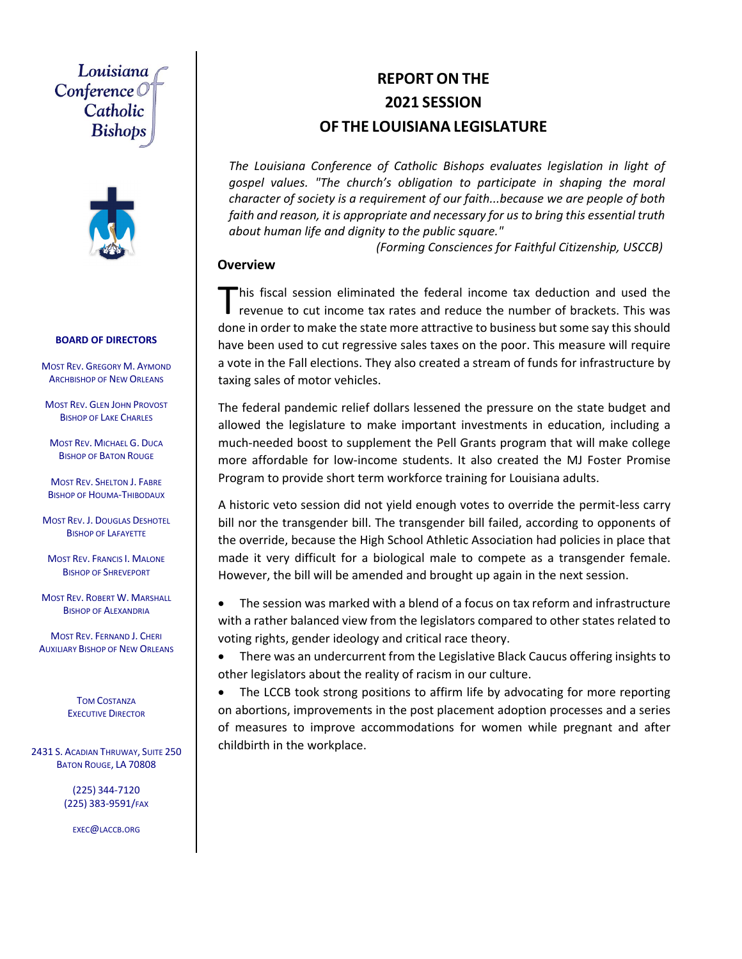### Louisiana Conference O Catholic Bishobs



#### **BOARD OF DIRECTORS**

MOST REV. GREGORY M. AYMOND ARCHBISHOP OF NEW ORLEANS

MOST REV. GLEN JOHN PROVOST BISHOP OF LAKE CHARLES

MOST REV. MICHAEL G. DUCA BISHOP OF BATON ROUGE

MOST REV. SHELTON J. FABRE **BISHOP OF HOUMA-THIBODAUX** 

MOST REV. J. DOUGLAS DESHOTEL BISHOP OF LAFAYETTE

MOST REV. FRANCIS I. MALONE BISHOP OF SHREVEPORT

MOST REV. ROBERT W. MARSHALL BISHOP OF ALEXANDRIA

MOST REV. FERNAND J. CHERI AUXILIARY BISHOP OF NEW ORLEANS

> TOM COSTANZA EXECUTIVE DIRECTOR

2431 S. ACADIAN THRUWAY, SUITE 250 BATON ROUGE, LA 70808

> (225) 344‐7120 (225) 383‐9591/FAX

EXEC@LACCB.ORG

### **REPORT ON THE 2021 SESSION OF THE LOUISIANA LEGISLATURE**

*The Louisiana Conference of Catholic Bishops evaluates legislation in light of gospel values. "The church's obligation to participate in shaping the moral character of society is a requirement of our faith...because we are people of both faith and reason, it is appropriate and necessary for us to bring this essential truth about human life and dignity to the public square."*

*(Forming Consciences for Faithful Citizenship, USCCB)* 

#### **Overview**

his fiscal session eliminated the federal income tax deduction and used the This fiscal session eliminated the federal income tax deduction and used the revenue to cut income tax rates and reduce the number of brackets. This was done in order to make the state more attractive to business but some say this should have been used to cut regressive sales taxes on the poor. This measure will require a vote in the Fall elections. They also created a stream of funds for infrastructure by taxing sales of motor vehicles.

The federal pandemic relief dollars lessened the pressure on the state budget and allowed the legislature to make important investments in education, including a much‐needed boost to supplement the Pell Grants program that will make college more affordable for low‐income students. It also created the MJ Foster Promise Program to provide short term workforce training for Louisiana adults.

A historic veto session did not yield enough votes to override the permit‐less carry bill nor the transgender bill. The transgender bill failed, according to opponents of the override, because the High School Athletic Association had policies in place that made it very difficult for a biological male to compete as a transgender female. However, the bill will be amended and brought up again in the next session.

 The session was marked with a blend of a focus on tax reform and infrastructure with a rather balanced view from the legislators compared to other states related to voting rights, gender ideology and critical race theory.

 There was an undercurrent from the Legislative Black Caucus offering insights to other legislators about the reality of racism in our culture.

• The LCCB took strong positions to affirm life by advocating for more reporting on abortions, improvements in the post placement adoption processes and a series of measures to improve accommodations for women while pregnant and after childbirth in the workplace.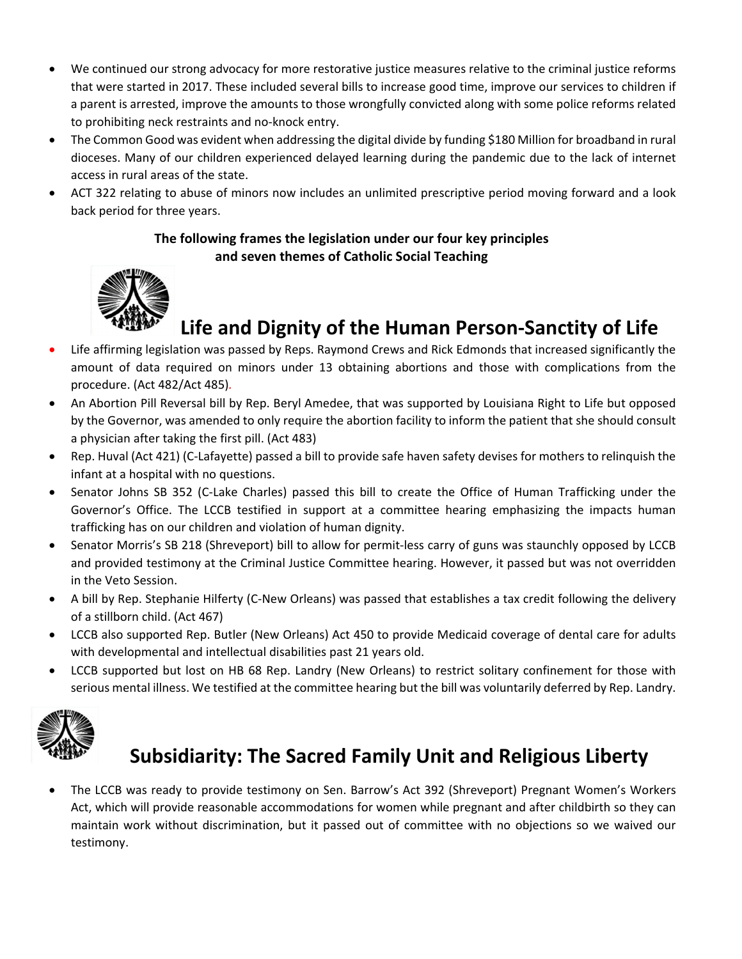- We continued our strong advocacy for more restorative justice measures relative to the criminal justice reforms that were started in 2017. These included several bills to increase good time, improve our services to children if a parent is arrested, improve the amounts to those wrongfully convicted along with some police reforms related to prohibiting neck restraints and no‐knock entry.
- The Common Good was evident when addressing the digital divide by funding \$180 Million for broadband in rural dioceses. Many of our children experienced delayed learning during the pandemic due to the lack of internet access in rural areas of the state.
- ACT 322 relating to abuse of minors now includes an unlimited prescriptive period moving forward and a look back period for three years.

#### **The following frames the legislation under our four key principles and seven themes of Catholic Social Teaching**



# **Life and Dignity of the Human Person‐Sanctity of Life**

- Life affirming legislation was passed by Reps. Raymond Crews and Rick Edmonds that increased significantly the amount of data required on minors under 13 obtaining abortions and those with complications from the procedure. (Act 482/Act 485)*.*
- An Abortion Pill Reversal bill by Rep. Beryl Amedee, that was supported by Louisiana Right to Life but opposed by the Governor, was amended to only require the abortion facility to inform the patient that she should consult a physician after taking the first pill. (Act 483)
- Rep. Huval (Act 421) (C-Lafayette) passed a bill to provide safe haven safety devises for mothers to relinquish the infant at a hospital with no questions.
- Senator Johns SB 352 (C-Lake Charles) passed this bill to create the Office of Human Trafficking under the Governor's Office. The LCCB testified in support at a committee hearing emphasizing the impacts human trafficking has on our children and violation of human dignity.
- Senator Morris's SB 218 (Shreveport) bill to allow for permit-less carry of guns was staunchly opposed by LCCB and provided testimony at the Criminal Justice Committee hearing. However, it passed but was not overridden in the Veto Session.
- A bill by Rep. Stephanie Hilferty (C‐New Orleans) was passed that establishes a tax credit following the delivery of a stillborn child. (Act 467)
- LCCB also supported Rep. Butler (New Orleans) Act 450 to provide Medicaid coverage of dental care for adults with developmental and intellectual disabilities past 21 years old.
- LCCB supported but lost on HB 68 Rep. Landry (New Orleans) to restrict solitary confinement for those with serious mental illness. We testified at the committee hearing but the bill was voluntarily deferred by Rep. Landry.



# **Subsidiarity: The Sacred Family Unit and Religious Liberty**

 The LCCB was ready to provide testimony on Sen. Barrow's Act 392 (Shreveport) Pregnant Women's Workers Act, which will provide reasonable accommodations for women while pregnant and after childbirth so they can maintain work without discrimination, but it passed out of committee with no objections so we waived our testimony.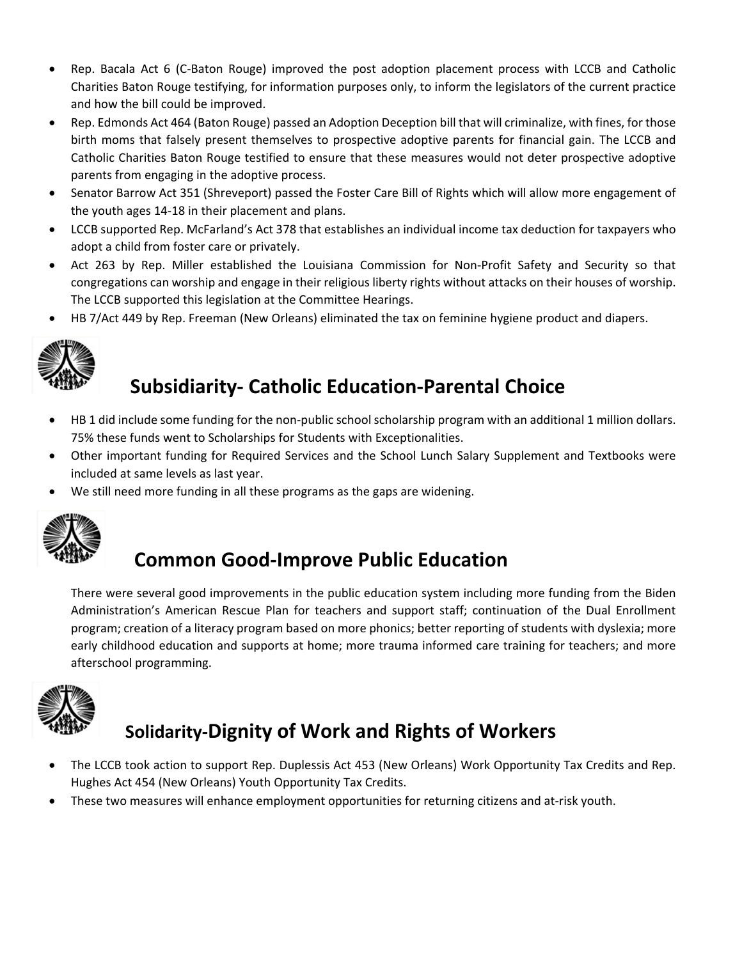- Rep. Bacala Act 6 (C-Baton Rouge) improved the post adoption placement process with LCCB and Catholic Charities Baton Rouge testifying, for information purposes only, to inform the legislators of the current practice and how the bill could be improved.
- Rep. Edmonds Act 464 (Baton Rouge) passed an Adoption Deception bill that will criminalize, with fines, for those birth moms that falsely present themselves to prospective adoptive parents for financial gain. The LCCB and Catholic Charities Baton Rouge testified to ensure that these measures would not deter prospective adoptive parents from engaging in the adoptive process.
- Senator Barrow Act 351 (Shreveport) passed the Foster Care Bill of Rights which will allow more engagement of the youth ages 14‐18 in their placement and plans.
- LCCB supported Rep. McFarland's Act 378 that establishes an individual income tax deduction for taxpayers who adopt a child from foster care or privately.
- Act 263 by Rep. Miller established the Louisiana Commission for Non-Profit Safety and Security so that congregations can worship and engage in their religious liberty rights without attacks on their houses of worship. The LCCB supported this legislation at the Committee Hearings.
- HB 7/Act 449 by Rep. Freeman (New Orleans) eliminated the tax on feminine hygiene product and diapers.



# **Subsidiarity‐ Catholic Education‐Parental Choice**

- HB 1 did include some funding for the non-public school scholarship program with an additional 1 million dollars. 75% these funds went to Scholarships for Students with Exceptionalities.
- Other important funding for Required Services and the School Lunch Salary Supplement and Textbooks were included at same levels as last year.
- We still need more funding in all these programs as the gaps are widening.



## **Common Good‐Improve Public Education**

There were several good improvements in the public education system including more funding from the Biden Administration's American Rescue Plan for teachers and support staff; continuation of the Dual Enrollment program; creation of a literacy program based on more phonics; better reporting of students with dyslexia; more early childhood education and supports at home; more trauma informed care training for teachers; and more afterschool programming.



## **Solidarity‐Dignity of Work and Rights of Workers**

- The LCCB took action to support Rep. Duplessis Act 453 (New Orleans) Work Opportunity Tax Credits and Rep. Hughes Act 454 (New Orleans) Youth Opportunity Tax Credits.
- These two measures will enhance employment opportunities for returning citizens and at-risk youth.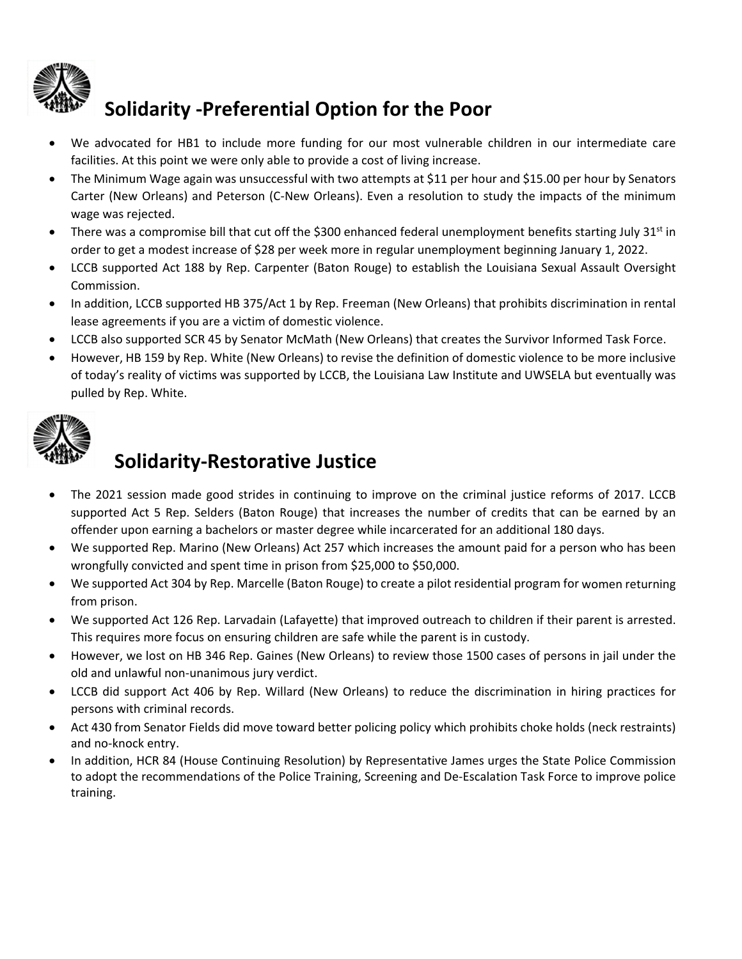

## **Solidarity ‐Preferential Option for the Poor**

- We advocated for HB1 to include more funding for our most vulnerable children in our intermediate care facilities. At this point we were only able to provide a cost of living increase.
- The Minimum Wage again was unsuccessful with two attempts at \$11 per hour and \$15.00 per hour by Senators Carter (New Orleans) and Peterson (C‐New Orleans). Even a resolution to study the impacts of the minimum wage was rejected.
- There was a compromise bill that cut off the \$300 enhanced federal unemployment benefits starting July 31st in order to get a modest increase of \$28 per week more in regular unemployment beginning January 1, 2022.
- LCCB supported Act 188 by Rep. Carpenter (Baton Rouge) to establish the Louisiana Sexual Assault Oversight Commission.
- In addition, LCCB supported HB 375/Act 1 by Rep. Freeman (New Orleans) that prohibits discrimination in rental lease agreements if you are a victim of domestic violence.
- LCCB also supported SCR 45 by Senator McMath (New Orleans) that creates the Survivor Informed Task Force.
- However, HB 159 by Rep. White (New Orleans) to revise the definition of domestic violence to be more inclusive of today's reality of victims was supported by LCCB, the Louisiana Law Institute and UWSELA but eventually was pulled by Rep. White.



## **Solidarity‐Restorative Justice**

- The 2021 session made good strides in continuing to improve on the criminal justice reforms of 2017. LCCB supported Act 5 Rep. Selders (Baton Rouge) that increases the number of credits that can be earned by an offender upon earning a bachelors or master degree while incarcerated for an additional 180 days.
- We supported Rep. Marino (New Orleans) Act 257 which increases the amount paid for a person who has been wrongfully convicted and spent time in prison from \$25,000 to \$50,000.
- We supported Act 304 by Rep. Marcelle (Baton Rouge) to create a pilot residential program for women returning from prison.
- We supported Act 126 Rep. Larvadain (Lafayette) that improved outreach to children if their parent is arrested. This requires more focus on ensuring children are safe while the parent is in custody.
- However, we lost on HB 346 Rep. Gaines (New Orleans) to review those 1500 cases of persons in jail under the old and unlawful non‐unanimous jury verdict.
- LCCB did support Act 406 by Rep. Willard (New Orleans) to reduce the discrimination in hiring practices for persons with criminal records.
- Act 430 from Senator Fields did move toward better policing policy which prohibits choke holds (neck restraints) and no‐knock entry.
- In addition, HCR 84 (House Continuing Resolution) by Representative James urges the State Police Commission to adopt the recommendations of the Police Training, Screening and De‐Escalation Task Force to improve police training.